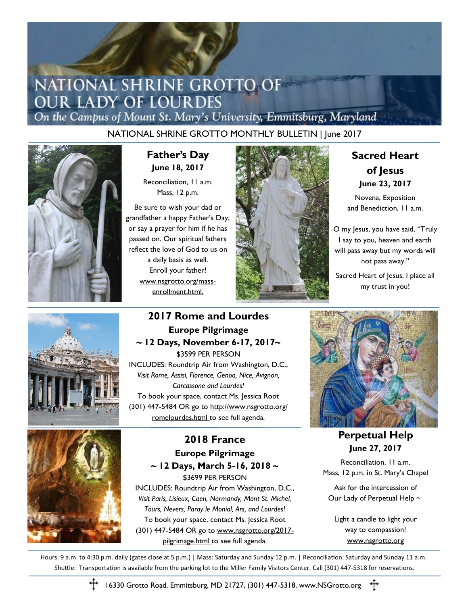## NATIONAL SHRINE GROTTO OF **OUR LADY OF LOURDES**

On the Campus of Mount St. Mary's University, Emmitsburg, Maryland

NATIONAL SHRINE GROTTO MONTHLY BULLETIN | June 2017



**Father's Day June 18, 2017**

Reconciliation, 11 a.m. Mass, 12 p.m.

Be sure to wish your dad or grandfather a happy Father's Day, or say a prayer for him if he has passed on. Our spiritual fathers reflect the love of God to us on a daily basis as well. Enroll your father! www.nsgrotto.org/massenrollment.html.



## **Sacred Heart of Jesus June 23, 2017**

Novena, Exposition and Benediction, 11 a.m.

O my Jesus, you have said, "Truly I say to you, heaven and earth will pass away but my words will not pass away."

Sacred Heart of Jesus, I place all my trust in you!



#### **2017 Rome and Lourdes Europe Pilgrimage ~ 12 Days, November 6-17, 2017~** \$3599 PER PERSON

INCLUDES: Roundtrip Air from Washington, D.C., *Visit Rome, Assisi, Florence, Genoa, Nice, Avignon, Carcassone and Lourdes!*  To book your space, contact Ms. Jessica Root (301) 447-5484 OR go to http://www.nsgrotto.org/ romelourdes.html to see full agenda.

## **2018 France Europe Pilgrimage ~ 12 Days, March 5-16, 2018 ~**

\$3699 PER PERSON INCLUDES: Roundtrip Air from Washington, D.C., *Visit Paris, Lisieux, Caen, Normandy, Mont St. Michel, Tours, Nevers, Paray le Monial, Ars, and Lourdes!* To book your space, contact Ms. Jessica Root (301) 447-5484 OR go to www.nsgrotto.org/2017 pilgrimage.html to see full agenda.



**Perpetual Help June 27, 2017**

Reconciliation, 11 a.m. Mass, 12 p.m. in St. Mary's Chapel

Ask for the intercession of Our Lady of Perpetual Help ~

Light a candle to light your way to compassion! www.nsgrotto.org

Hours: 9 a.m. to 4:30 p.m. daily (gates close at 5 p.m.) | Mass: Saturday and Sunday 12 p.m. | Reconciliation: Saturday and Sunday 11 a.m. Shuttle: Transportation is available from the parking lot to the Miller Family Visitors Center. Call (301) 447-5318 for reservations.